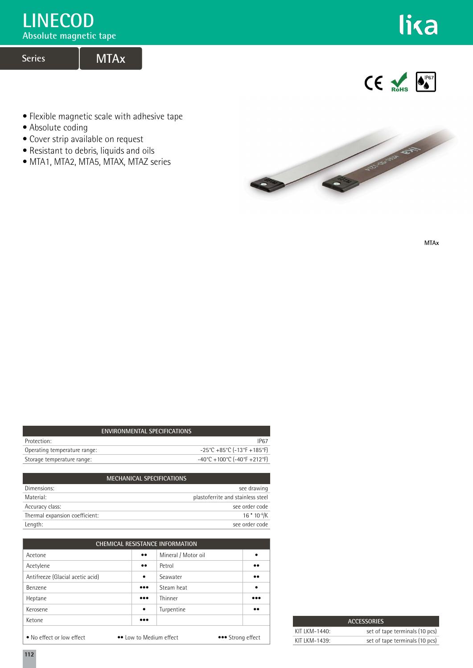# **LINECOD**

**Absolute magnetic tape**

# **Series MTAx**



 $\mathsf{CE}$   $\mathsf{Rohs}$   $\mathsf{O}_{\bullet}^{\mathsf{P67}}$ 

- Flexible magnetic scale with adhesive tape
- Absolute coding
- Cover strip available on request
- Resistant to debris, liquids and oils
- MTA1, MTA2, MTA5, MTAX, MTAZ series



**MTAx**

| ENVIRONMENTAL SPECIFICATIONS                                             |
|--------------------------------------------------------------------------|
| IP67                                                                     |
| $-25^{\circ}$ C +85 $^{\circ}$ C (-13 $^{\circ}$ F +185 $^{\circ}$ F)    |
| $-40^{\circ}$ C + 100 $^{\circ}$ C (-40 $^{\circ}$ F + 212 $^{\circ}$ F) |
|                                                                          |

|                                | <b>MECHANICAL SPECIFICATIONS</b> |                                   |
|--------------------------------|----------------------------------|-----------------------------------|
| Dimensions:                    |                                  | see drawing                       |
| Material:                      |                                  | plastoferrite and stainless steel |
| Accuracy class:                |                                  | see order code                    |
| Thermal expansion coefficient: |                                  | $16*10^{-6}$ /K                   |
| Length:                        |                                  | see order code                    |

| <b>CHEMICAL RESISTANCE INFORMATION</b> |                         |                     |                         |  |
|----------------------------------------|-------------------------|---------------------|-------------------------|--|
| Acetone                                | $\bullet\bullet$        | Mineral / Motor oil | ٠                       |  |
| Acetylene                              | $\bullet\bullet$        | Petrol              | $\bullet\bullet$        |  |
| Antifreeze (Glacial acetic acid)       | $\bullet$               | Seawater            | $\bullet\bullet$        |  |
| Benzene                                | $\bullet\bullet\bullet$ | Steam heat          | $\bullet$               |  |
| Heptane                                | $\bullet\bullet\bullet$ | Thinner             | $\bullet\bullet\bullet$ |  |
| Kerosene                               | $\bullet$               | Turpentine          | $\bullet\bullet$        |  |
| Ketone                                 | $\bullet\bullet\bullet$ |                     |                         |  |
| • No effect or low effect              | •• Low to Medium effect |                     | ••• Strong effect       |  |

| <b>ACCESSORIES</b>          |                                |  |
|-----------------------------|--------------------------------|--|
| KIT $K$ M-1440 <sup>-</sup> | set of tape terminals (10 pcs) |  |
| KIT LKM-1439:               | set of tape terminals (10 pcs) |  |